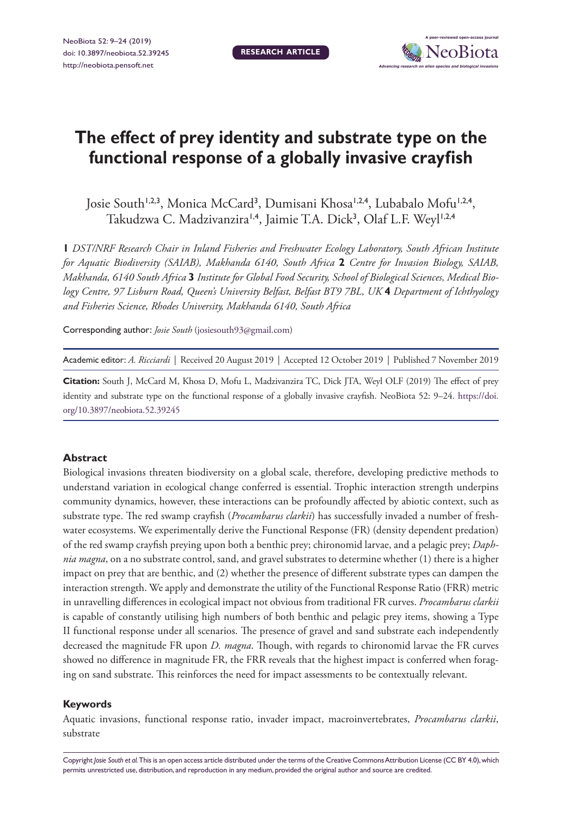**RESEARCH ARTICLE**



# **The effect of prey identity and substrate type on the functional response of a globally invasive crayfish**

Josie South<sup>1,2,3</sup>, Monica McCard<sup>3</sup>, Dumisani Khosa<sup>1,2,4</sup>, Lubabalo Mofu<sup>1,2,4</sup>, Takudzwa C. Madzivanzira<sup>1,4</sup>, Jaimie T.A. Dick<sup>3</sup>, Olaf L.F. Weyl<sup>1,2,4</sup>

**1** *DST/NRF Research Chair in Inland Fisheries and Freshwater Ecology Laboratory, South African Institute for Aquatic Biodiversity (SAIAB), Makhanda 6140, South Africa* **2** *Centre for Invasion Biology, SAIAB, Makhanda, 6140 South Africa* **3** *Institute for Global Food Security, School of Biological Sciences, Medical Biology Centre, 97 Lisburn Road, Queen's University Belfast, Belfast BT9 7BL, UK* **4** *Department of Ichthyology and Fisheries Science, Rhodes University, Makhanda 6140, South Africa*

Corresponding author: *Josie South* [\(josiesouth93@gmail.com](mailto:josiesouth93@gmail.com))

Academic editor: *A. Ricciardi* | Received 20 August 2019 | Accepted 12 October 2019 | Published 7 November 2019

**Citation:** South J, McCard M, Khosa D, Mofu L, Madzivanzira TC, Dick JTA, Weyl OLF (2019) The effect of prey identity and substrate type on the functional response of a globally invasive crayfish. NeoBiota 52: 9–24. [https://doi.](https://doi.org/10.3897/neobiota.52.39245) [org/10.3897/neobiota.52.39245](https://doi.org/10.3897/neobiota.52.39245)

#### **Abstract**

Biological invasions threaten biodiversity on a global scale, therefore, developing predictive methods to understand variation in ecological change conferred is essential. Trophic interaction strength underpins community dynamics, however, these interactions can be profoundly affected by abiotic context, such as substrate type. The red swamp crayfish (*Procambarus clarkii*) has successfully invaded a number of freshwater ecosystems. We experimentally derive the Functional Response (FR) (density dependent predation) of the red swamp crayfish preying upon both a benthic prey; chironomid larvae, and a pelagic prey; *Daphnia magna*, on a no substrate control, sand, and gravel substrates to determine whether (1) there is a higher impact on prey that are benthic, and (2) whether the presence of different substrate types can dampen the interaction strength. We apply and demonstrate the utility of the Functional Response Ratio (FRR) metric in unravelling differences in ecological impact not obvious from traditional FR curves. *Procambarus clarkii* is capable of constantly utilising high numbers of both benthic and pelagic prey items, showing a Type II functional response under all scenarios. The presence of gravel and sand substrate each independently decreased the magnitude FR upon *D. magna*. Though, with regards to chironomid larvae the FR curves showed no difference in magnitude FR, the FRR reveals that the highest impact is conferred when foraging on sand substrate. This reinforces the need for impact assessments to be contextually relevant.

#### **Keywords**

Aquatic invasions, functional response ratio, invader impact, macroinvertebrates, *Procambarus clarkii*, substrate

Copyright *Josie South et al.* This is an open access article distributed under the terms of the [Creative Commons Attribution License \(CC BY 4.0\)](http://creativecommons.org/licenses/by/4.0/), which permits unrestricted use, distribution, and reproduction in any medium, provided the original author and source are credited.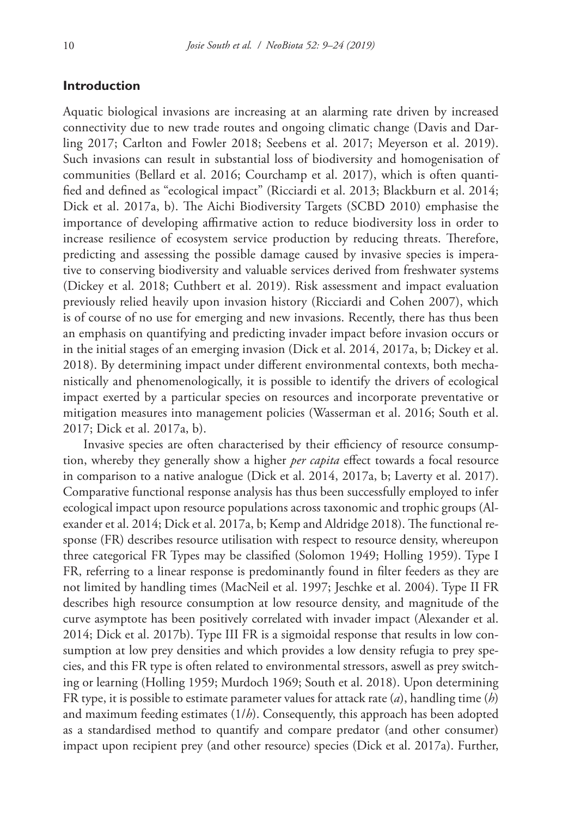# **Introduction**

Aquatic biological invasions are increasing at an alarming rate driven by increased connectivity due to new trade routes and ongoing climatic change (Davis and Darling 2017; Carlton and Fowler 2018; Seebens et al. 2017; Meyerson et al. 2019). Such invasions can result in substantial loss of biodiversity and homogenisation of communities (Bellard et al. 2016; Courchamp et al. 2017), which is often quantified and defined as "ecological impact" (Ricciardi et al. 2013; Blackburn et al. 2014; Dick et al. 2017a, b). The Aichi Biodiversity Targets (SCBD 2010) emphasise the importance of developing affirmative action to reduce biodiversity loss in order to increase resilience of ecosystem service production by reducing threats. Therefore, predicting and assessing the possible damage caused by invasive species is imperative to conserving biodiversity and valuable services derived from freshwater systems (Dickey et al. 2018; Cuthbert et al. 2019). Risk assessment and impact evaluation previously relied heavily upon invasion history (Ricciardi and Cohen 2007), which is of course of no use for emerging and new invasions. Recently, there has thus been an emphasis on quantifying and predicting invader impact before invasion occurs or in the initial stages of an emerging invasion (Dick et al. 2014, 2017a, b; Dickey et al. 2018). By determining impact under different environmental contexts, both mechanistically and phenomenologically, it is possible to identify the drivers of ecological impact exerted by a particular species on resources and incorporate preventative or mitigation measures into management policies (Wasserman et al. 2016; South et al. 2017; Dick et al. 2017a, b).

Invasive species are often characterised by their efficiency of resource consumption, whereby they generally show a higher *per capita* effect towards a focal resource in comparison to a native analogue (Dick et al. 2014, 2017a, b; Laverty et al. 2017). Comparative functional response analysis has thus been successfully employed to infer ecological impact upon resource populations across taxonomic and trophic groups (Alexander et al. 2014; Dick et al. 2017a, b; Kemp and Aldridge 2018). The functional response (FR) describes resource utilisation with respect to resource density, whereupon three categorical FR Types may be classified (Solomon 1949; Holling 1959). Type I FR, referring to a linear response is predominantly found in filter feeders as they are not limited by handling times (MacNeil et al. 1997; Jeschke et al. 2004). Type II FR describes high resource consumption at low resource density, and magnitude of the curve asymptote has been positively correlated with invader impact (Alexander et al. 2014; Dick et al. 2017b). Type III FR is a sigmoidal response that results in low consumption at low prey densities and which provides a low density refugia to prey species, and this FR type is often related to environmental stressors, aswell as prey switching or learning (Holling 1959; Murdoch 1969; South et al. 2018). Upon determining FR type, it is possible to estimate parameter values for attack rate (*a*), handling time (*h*) and maximum feeding estimates (1/*h*). Consequently, this approach has been adopted as a standardised method to quantify and compare predator (and other consumer) impact upon recipient prey (and other resource) species (Dick et al. 2017a). Further,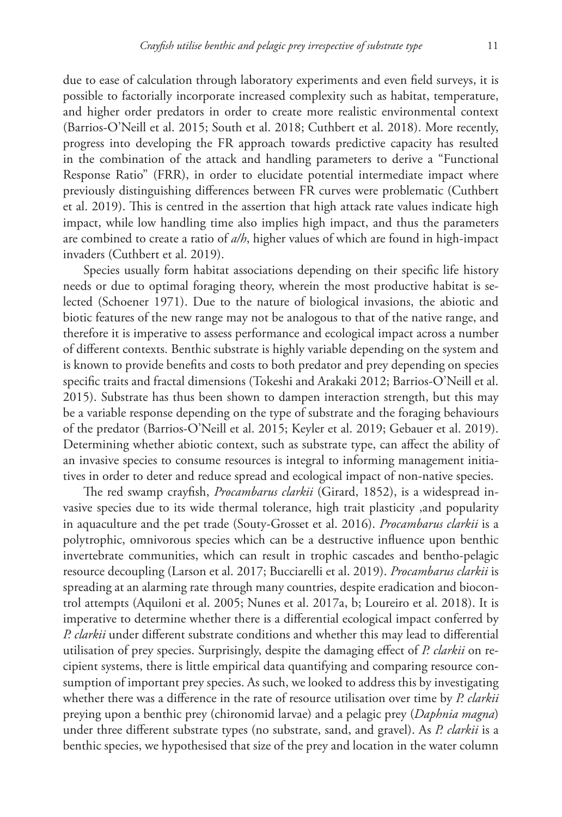due to ease of calculation through laboratory experiments and even field surveys, it is possible to factorially incorporate increased complexity such as habitat, temperature, and higher order predators in order to create more realistic environmental context (Barrios-O'Neill et al. 2015; South et al. 2018; Cuthbert et al. 2018). More recently, progress into developing the FR approach towards predictive capacity has resulted in the combination of the attack and handling parameters to derive a "Functional Response Ratio" (FRR), in order to elucidate potential intermediate impact where previously distinguishing differences between FR curves were problematic (Cuthbert et al. 2019). This is centred in the assertion that high attack rate values indicate high impact, while low handling time also implies high impact, and thus the parameters are combined to create a ratio of *a/h*, higher values of which are found in high-impact invaders (Cuthbert et al. 2019).

Species usually form habitat associations depending on their specific life history needs or due to optimal foraging theory, wherein the most productive habitat is selected (Schoener 1971). Due to the nature of biological invasions, the abiotic and biotic features of the new range may not be analogous to that of the native range, and therefore it is imperative to assess performance and ecological impact across a number of different contexts. Benthic substrate is highly variable depending on the system and is known to provide benefits and costs to both predator and prey depending on species specific traits and fractal dimensions (Tokeshi and Arakaki 2012; Barrios-O'Neill et al. 2015). Substrate has thus been shown to dampen interaction strength, but this may be a variable response depending on the type of substrate and the foraging behaviours of the predator (Barrios-O'Neill et al. 2015; Keyler et al. 2019; Gebauer et al. 2019). Determining whether abiotic context, such as substrate type, can affect the ability of an invasive species to consume resources is integral to informing management initiatives in order to deter and reduce spread and ecological impact of non-native species.

The red swamp crayfish, *Procambarus clarkii* (Girard, 1852), is a widespread invasive species due to its wide thermal tolerance, high trait plasticity ,and popularity in aquaculture and the pet trade (Souty-Grosset et al. 2016). *Procambarus clarkii* is a polytrophic, omnivorous species which can be a destructive influence upon benthic invertebrate communities, which can result in trophic cascades and bentho-pelagic resource decoupling (Larson et al. 2017; Bucciarelli et al. 2019). *Procambarus clarkii* is spreading at an alarming rate through many countries, despite eradication and biocontrol attempts (Aquiloni et al. 2005; Nunes et al. 2017a, b; Loureiro et al. 2018). It is imperative to determine whether there is a differential ecological impact conferred by *P. clarkii* under different substrate conditions and whether this may lead to differential utilisation of prey species. Surprisingly, despite the damaging effect of *P. clarkii* on recipient systems, there is little empirical data quantifying and comparing resource consumption of important prey species. As such, we looked to address this by investigating whether there was a difference in the rate of resource utilisation over time by *P. clarkii* preying upon a benthic prey (chironomid larvae) and a pelagic prey (*Daphnia magna*) under three different substrate types (no substrate, sand, and gravel). As *P. clarkii* is a benthic species, we hypothesised that size of the prey and location in the water column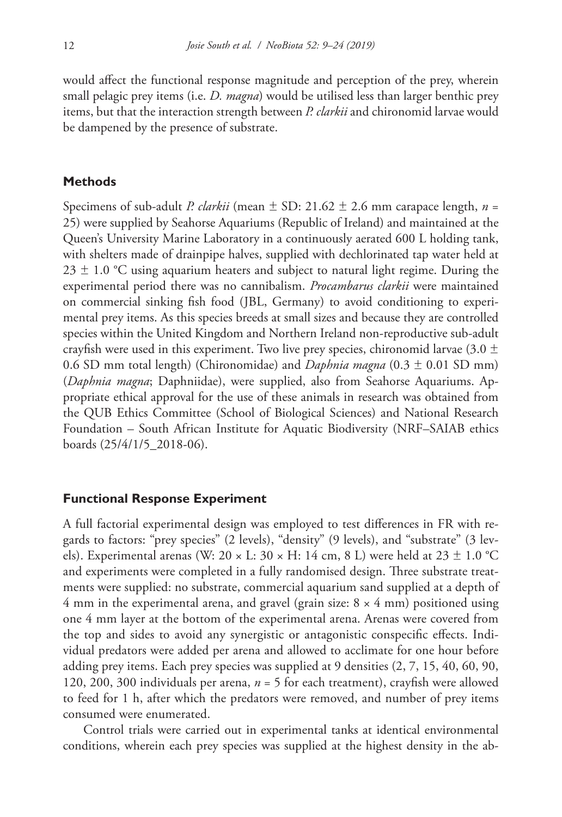would affect the functional response magnitude and perception of the prey, wherein small pelagic prey items (i.e. *D. magna*) would be utilised less than larger benthic prey items, but that the interaction strength between *P. clarkii* and chironomid larvae would be dampened by the presence of substrate.

#### **Methods**

Specimens of sub-adult *P. clarkii* (mean  $\pm$  SD: 21.62  $\pm$  2.6 mm carapace length, *n* = 25) were supplied by Seahorse Aquariums (Republic of Ireland) and maintained at the Queen's University Marine Laboratory in a continuously aerated 600 L holding tank, with shelters made of drainpipe halves, supplied with dechlorinated tap water held at  $23 \pm 1.0$  °C using aquarium heaters and subject to natural light regime. During the experimental period there was no cannibalism. *Procambarus clarkii* were maintained on commercial sinking fish food (JBL, Germany) to avoid conditioning to experimental prey items. As this species breeds at small sizes and because they are controlled species within the United Kingdom and Northern Ireland non-reproductive sub-adult crayfish were used in this experiment. Two live prey species, chironomid larvae (3.0  $\pm$ 0.6 SD mm total length) (Chironomidae) and *Daphnia magna* (0.3 ± 0.01 SD mm) (*Daphnia magna*; Daphniidae), were supplied, also from Seahorse Aquariums. Appropriate ethical approval for the use of these animals in research was obtained from the QUB Ethics Committee (School of Biological Sciences) and National Research Foundation – South African Institute for Aquatic Biodiversity (NRF–SAIAB ethics boards (25/4/1/5\_2018-06).

#### **Functional Response Experiment**

A full factorial experimental design was employed to test differences in FR with regards to factors: "prey species" (2 levels), "density" (9 levels), and "substrate" (3 levels). Experimental arenas (W: 20  $\times$  L: 30  $\times$  H: 14 cm, 8 L) were held at 23  $\pm$  1.0 °C and experiments were completed in a fully randomised design. Three substrate treatments were supplied: no substrate, commercial aquarium sand supplied at a depth of 4 mm in the experimental arena, and gravel (grain size:  $8 \times 4$  mm) positioned using one 4 mm layer at the bottom of the experimental arena. Arenas were covered from the top and sides to avoid any synergistic or antagonistic conspecific effects. Individual predators were added per arena and allowed to acclimate for one hour before adding prey items. Each prey species was supplied at 9 densities (2, 7, 15, 40, 60, 90, 120, 200, 300 individuals per arena, *n* = 5 for each treatment), crayfish were allowed to feed for 1 h, after which the predators were removed, and number of prey items consumed were enumerated.

Control trials were carried out in experimental tanks at identical environmental conditions, wherein each prey species was supplied at the highest density in the ab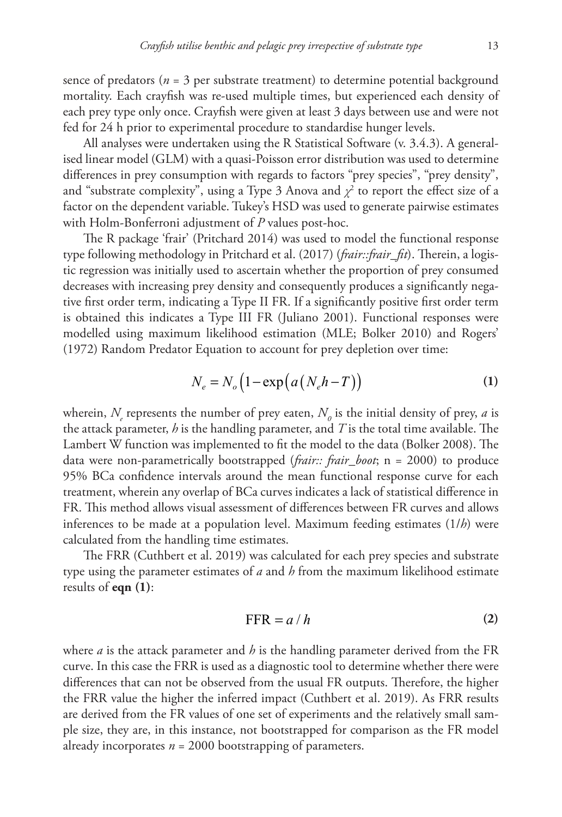sence of predators ( $n = 3$  per substrate treatment) to determine potential background mortality. Each crayfish was re-used multiple times, but experienced each density of each prey type only once. Crayfish were given at least 3 days between use and were not fed for 24 h prior to experimental procedure to standardise hunger levels.

All analyses were undertaken using the R Statistical Software (v. 3.4.3). A generalised linear model (GLM) with a quasi-Poisson error distribution was used to determine differences in prey consumption with regards to factors "prey species", "prey density", and "substrate complexity", using a Type 3 Anova and  $\chi^2$  to report the effect size of a factor on the dependent variable. Tukey's HSD was used to generate pairwise estimates with Holm-Bonferroni adjustment of *P* values post-hoc.

The R package 'frair' (Pritchard 2014) was used to model the functional response type following methodology in Pritchard et al. (2017) (*frair::frair\_fit*). Therein, a logistic regression was initially used to ascertain whether the proportion of prey consumed decreases with increasing prey density and consequently produces a significantly negative first order term, indicating a Type II FR. If a significantly positive first order term is obtained this indicates a Type III FR (Juliano 2001). Functional responses were modelled using maximum likelihood estimation (MLE; Bolker 2010) and Rogers' (1972) Random Predator Equation to account for prey depletion over time:

$$
N_e = N_o \left( 1 - \exp\left( a \left( N_e h - T \right) \right) \right) \tag{1}
$$

wherein,  $N_{\scriptscriptstyle e}$  represents the number of prey eaten,  $N_{\scriptscriptstyle \theta}$  is the initial density of prey, *a* is the attack parameter, *h* is the handling parameter, and *T* is the total time available. The Lambert W function was implemented to fit the model to the data (Bolker 2008). The data were non-parametrically bootstrapped (*frair:: frair\_boot*; n = 2000) to produce 95% BCa confidence intervals around the mean functional response curve for each treatment, wherein any overlap of BCa curves indicates a lack of statistical difference in FR. This method allows visual assessment of differences between FR curves and allows inferences to be made at a population level. Maximum feeding estimates (1/*h*) were calculated from the handling time estimates.

The FRR (Cuthbert et al. 2019) was calculated for each prey species and substrate type using the parameter estimates of *a* and *h* from the maximum likelihood estimate results of **eqn (1)**:

$$
FFR = a/h \tag{2}
$$

where *a* is the attack parameter and *h* is the handling parameter derived from the FR curve. In this case the FRR is used as a diagnostic tool to determine whether there were differences that can not be observed from the usual FR outputs. Therefore, the higher the FRR value the higher the inferred impact (Cuthbert et al. 2019). As FRR results are derived from the FR values of one set of experiments and the relatively small sample size, they are, in this instance, not bootstrapped for comparison as the FR model already incorporates *n* = 2000 bootstrapping of parameters.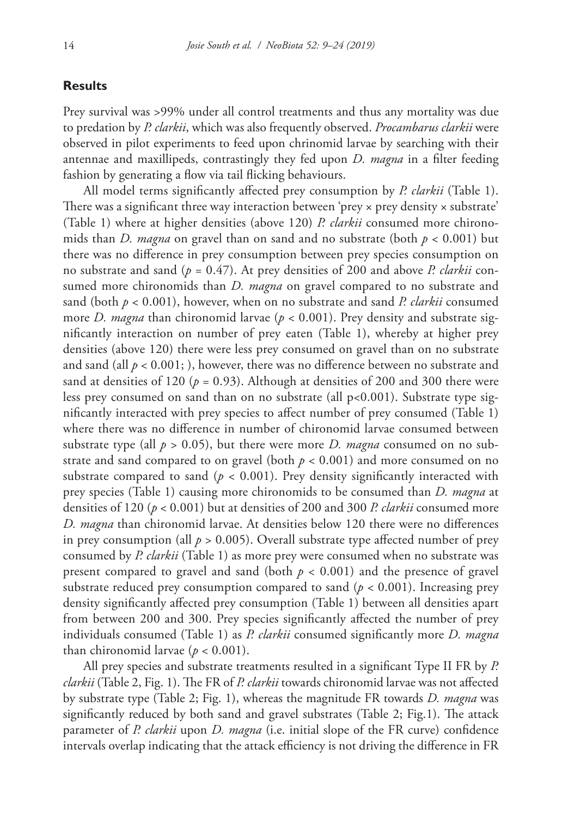# **Results**

Prey survival was >99% under all control treatments and thus any mortality was due to predation by *P. clarkii*, which was also frequently observed. *Procambarus clarkii* were observed in pilot experiments to feed upon chrinomid larvae by searching with their antennae and maxillipeds, contrastingly they fed upon *D. magna* in a filter feeding fashion by generating a flow via tail flicking behaviours.

All model terms significantly affected prey consumption by *P. clarkii* (Table 1). There was a significant three way interaction between 'prey  $\times$  prey density  $\times$  substrate' (Table 1) where at higher densities (above 120) *P. clarkii* consumed more chironomids than *D. magna* on gravel than on sand and no substrate (both  $p < 0.001$ ) but there was no difference in prey consumption between prey species consumption on no substrate and sand (*p* = 0.47). At prey densities of 200 and above *P. clarkii* consumed more chironomids than *D. magna* on gravel compared to no substrate and sand (both *p* < 0.001), however, when on no substrate and sand *P. clarkii* consumed more *D. magna* than chironomid larvae (*p* < 0.001). Prey density and substrate significantly interaction on number of prey eaten (Table 1), whereby at higher prey densities (above 120) there were less prey consumed on gravel than on no substrate and sand (all  $p < 0.001$ ; ), however, there was no difference between no substrate and sand at densities of 120 ( $p = 0.93$ ). Although at densities of 200 and 300 there were less prey consumed on sand than on no substrate (all  $p<0.001$ ). Substrate type significantly interacted with prey species to affect number of prey consumed (Table 1) where there was no difference in number of chironomid larvae consumed between substrate type (all  $p > 0.05$ ), but there were more *D. magna* consumed on no substrate and sand compared to on gravel (both  $p < 0.001$ ) and more consumed on no substrate compared to sand ( $p < 0.001$ ). Prey density significantly interacted with prey species (Table 1) causing more chironomids to be consumed than *D. magna* at densities of 120 (*p* < 0.001) but at densities of 200 and 300 *P. clarkii* consumed more *D. magna* than chironomid larvae. At densities below 120 there were no differences in prey consumption (all  $p > 0.005$ ). Overall substrate type affected number of prey consumed by *P. clarkii* (Table 1) as more prey were consumed when no substrate was present compared to gravel and sand (both  $p < 0.001$ ) and the presence of gravel substrate reduced prey consumption compared to sand  $(p < 0.001)$ . Increasing prey density significantly affected prey consumption (Table 1) between all densities apart from between 200 and 300. Prey species significantly affected the number of prey individuals consumed (Table 1) as *P. clarkii* consumed significantly more *D. magna* than chironomid larvae ( $p < 0.001$ ).

All prey species and substrate treatments resulted in a significant Type II FR by *P. clarkii* (Table 2, Fig. 1). The FR of *P. clarkii* towards chironomid larvae was not affected by substrate type (Table 2; Fig. 1), whereas the magnitude FR towards *D. magna* was significantly reduced by both sand and gravel substrates (Table 2; Fig.1). The attack parameter of *P. clarkii* upon *D. magna* (i.e. initial slope of the FR curve) confidence intervals overlap indicating that the attack efficiency is not driving the difference in FR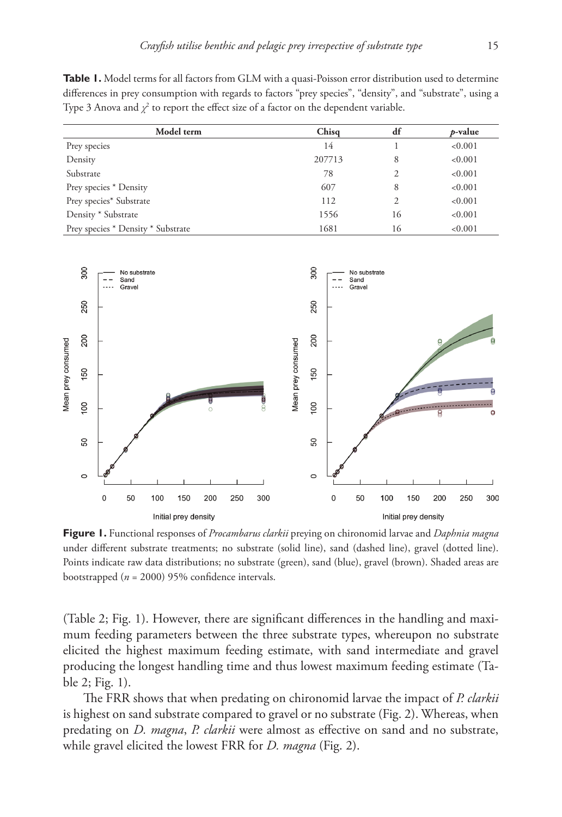Table 1. Model terms for all factors from GLM with a quasi-Poisson error distribution used to determine differences in prey consumption with regards to factors "prey species", "density", and "substrate", using a Type 3 Anova and  $\chi^2$  to report the effect size of a factor on the dependent variable.

| Model term                         | Chisg  | df | <i>p</i> -value |
|------------------------------------|--------|----|-----------------|
| Prey species                       | 14     |    | < 0.001         |
| Density                            | 207713 | 8  | < 0.001         |
| Substrate                          | 78     |    | < 0.001         |
| Prey species * Density             | 607    | 8  | < 0.001         |
| Prey species* Substrate            | 112    |    | < 0.001         |
| Density * Substrate                | 1556   | 16 | < 0.001         |
| Prey species * Density * Substrate | 1681   | 16 | < 0.001         |



**Figure 1.** Functional responses of *Procambarus clarkii* preying on chironomid larvae and *Daphnia magna*  under different substrate treatments; no substrate (solid line), sand (dashed line), gravel (dotted line). Points indicate raw data distributions; no substrate (green), sand (blue), gravel (brown). Shaded areas are bootstrapped (*n* = 2000) 95% confidence intervals.

(Table 2; Fig. 1). However, there are significant differences in the handling and maximum feeding parameters between the three substrate types, whereupon no substrate elicited the highest maximum feeding estimate, with sand intermediate and gravel producing the longest handling time and thus lowest maximum feeding estimate (Table 2; Fig. 1).

The FRR shows that when predating on chironomid larvae the impact of *P. clarkii* is highest on sand substrate compared to gravel or no substrate (Fig. 2). Whereas, when predating on *D. magna*, *P. clarkii* were almost as effective on sand and no substrate, while gravel elicited the lowest FRR for *D. magna* (Fig. 2).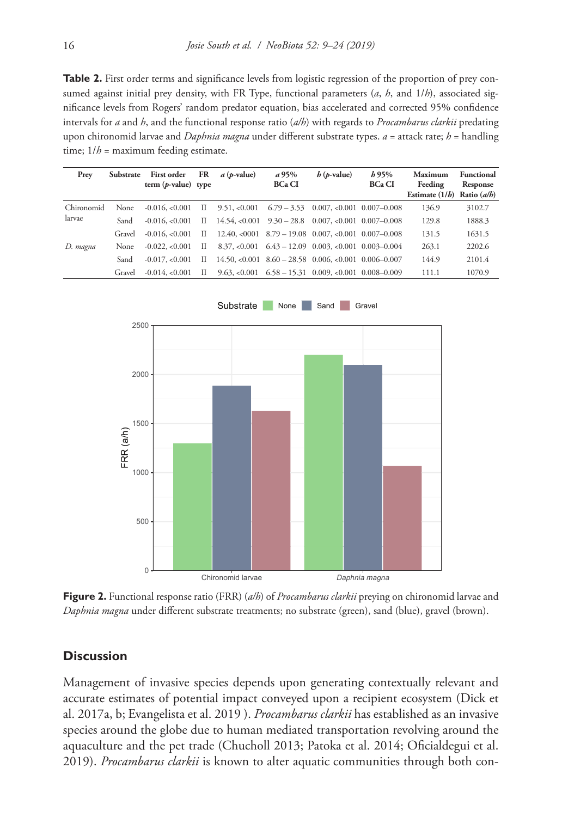**Table 2.** First order terms and significance levels from logistic regression of the proportion of prey consumed against initial prey density, with FR Type, functional parameters (*a*, *h*, and 1/*h*), associated significance levels from Rogers' random predator equation, bias accelerated and corrected 95% confidence intervals for *a* and *h*, and the functional response ratio (*a/h*) with regards to *Procambarus clarkii* predating upon chironomid larvae and *Daphnia magna* under different substrate types. *a* = attack rate; *h* = handling time; 1/*h* = maximum feeding estimate.

| Prev                 | Substrate | First order FR<br>term $(p-value)$ type |              | $a$ ( <i>p</i> -value) | a95%<br><b>BCa CI</b> | $h$ ( <i>p</i> -value)                                              | h95%<br><b>BCa CI</b> | Maximum<br>Feeding<br>Estimate $(1/b)$ Ratio $(a/b)$ | Functional<br>Response |
|----------------------|-----------|-----------------------------------------|--------------|------------------------|-----------------------|---------------------------------------------------------------------|-----------------------|------------------------------------------------------|------------------------|
| Chironomid<br>larvae | None      | $-0.016, < 0.001$                       | П            |                        |                       | $9.51, < 0.001$ $6.79 - 3.53$ $0.007, < 0.001$ $0.007 - 0.008$      |                       | 136.9                                                | 3102.7                 |
|                      | Sand      | $-0.016, < 0.001$                       | $\mathbf{H}$ |                        |                       | $14.54, \le 0.001$ $9.30 - 28.8$ $0.007, \le 0.001$ $0.007 - 0.008$ |                       | 129.8                                                | 1888.3                 |
|                      | Gravel    | $-0.016, <0.001$                        | $\mathbf{H}$ |                        |                       | $12.40, <0001$ $8.79 - 19.08$ $0.007, <0.001$ $0.007 - 0.008$       |                       | 131.5                                                | 1631.5                 |
| D. magna             | None      | $-0.022, < 0.001$                       | П            |                        |                       | $8.37, < 0.001$ $6.43 - 12.09$ $0.003, < 0.001$ $0.003 - 0.004$     |                       | 263.1                                                | 2202.6                 |
|                      | Sand      | $-0.017, < 0.001$                       | H            |                        |                       | $14.50, <0.001$ $8.60 - 28.58$ 0.006, $< 0.001$ 0.006-0.007         |                       | 144.9                                                | 2101.4                 |
|                      | Gravel    | $-0.014, < 0.001$                       | H            |                        |                       | $9.63, < 0.001$ $6.58 - 15.31$ $0.009, < 0.001$ $0.008 - 0.009$     |                       | 111.1                                                | 1070.9                 |



**Figure 2.** Functional response ratio (FRR) (*a/h*) of *Procambarus clarkii* preying on chironomid larvae and *Daphnia magna* under different substrate treatments; no substrate (green), sand (blue), gravel (brown).

# **Discussion**

Management of invasive species depends upon generating contextually relevant and accurate estimates of potential impact conveyed upon a recipient ecosystem (Dick et al. 2017a, b; Evangelista et al. 2019 ). *Procambarus clarkii* has established as an invasive species around the globe due to human mediated transportation revolving around the aquaculture and the pet trade (Chucholl 2013; Patoka et al. 2014; Oficialdegui et al. 2019). *Procambarus clarkii* is known to alter aquatic communities through both con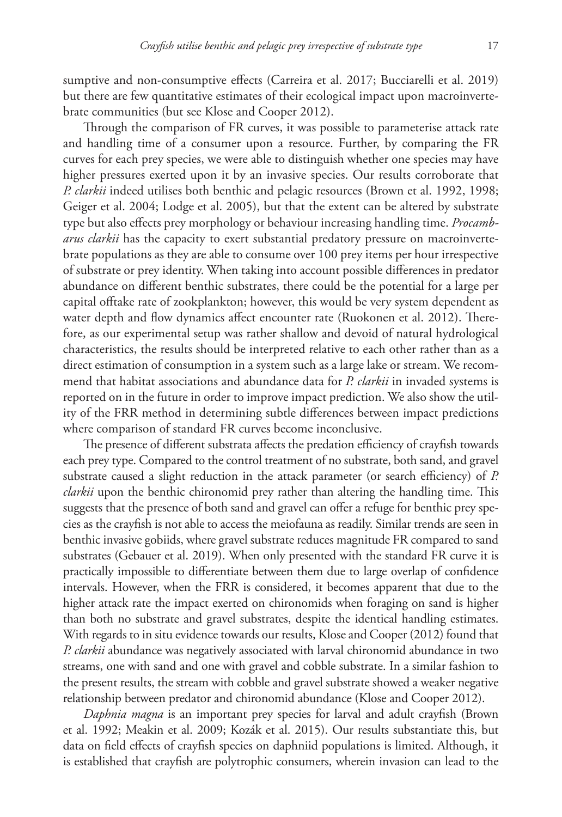sumptive and non-consumptive effects (Carreira et al. 2017; Bucciarelli et al. 2019) but there are few quantitative estimates of their ecological impact upon macroinvertebrate communities (but see Klose and Cooper 2012).

Through the comparison of FR curves, it was possible to parameterise attack rate and handling time of a consumer upon a resource. Further, by comparing the FR curves for each prey species, we were able to distinguish whether one species may have higher pressures exerted upon it by an invasive species. Our results corroborate that *P. clarkii* indeed utilises both benthic and pelagic resources (Brown et al. 1992, 1998; Geiger et al. 2004; Lodge et al. 2005), but that the extent can be altered by substrate type but also effects prey morphology or behaviour increasing handling time. *Procambarus clarkii* has the capacity to exert substantial predatory pressure on macroinvertebrate populations as they are able to consume over 100 prey items per hour irrespective of substrate or prey identity. When taking into account possible differences in predator abundance on different benthic substrates, there could be the potential for a large per capital offtake rate of zookplankton; however, this would be very system dependent as water depth and flow dynamics affect encounter rate (Ruokonen et al. 2012). Therefore, as our experimental setup was rather shallow and devoid of natural hydrological characteristics, the results should be interpreted relative to each other rather than as a direct estimation of consumption in a system such as a large lake or stream. We recommend that habitat associations and abundance data for *P. clarkii* in invaded systems is reported on in the future in order to improve impact prediction. We also show the utility of the FRR method in determining subtle differences between impact predictions where comparison of standard FR curves become inconclusive.

The presence of different substrata affects the predation efficiency of crayfish towards each prey type. Compared to the control treatment of no substrate, both sand, and gravel substrate caused a slight reduction in the attack parameter (or search efficiency) of *P. clarkii* upon the benthic chironomid prey rather than altering the handling time. This suggests that the presence of both sand and gravel can offer a refuge for benthic prey species as the crayfish is not able to access the meiofauna as readily. Similar trends are seen in benthic invasive gobiids, where gravel substrate reduces magnitude FR compared to sand substrates (Gebauer et al. 2019). When only presented with the standard FR curve it is practically impossible to differentiate between them due to large overlap of confidence intervals. However, when the FRR is considered, it becomes apparent that due to the higher attack rate the impact exerted on chironomids when foraging on sand is higher than both no substrate and gravel substrates, despite the identical handling estimates. With regards to in situ evidence towards our results, Klose and Cooper (2012) found that *P. clarkii* abundance was negatively associated with larval chironomid abundance in two streams, one with sand and one with gravel and cobble substrate. In a similar fashion to the present results, the stream with cobble and gravel substrate showed a weaker negative relationship between predator and chironomid abundance (Klose and Cooper 2012).

*Daphnia magna* is an important prey species for larval and adult crayfish (Brown et al. 1992; Meakin et al. 2009; Kozák et al. 2015). Our results substantiate this, but data on field effects of crayfish species on daphniid populations is limited. Although, it is established that crayfish are polytrophic consumers, wherein invasion can lead to the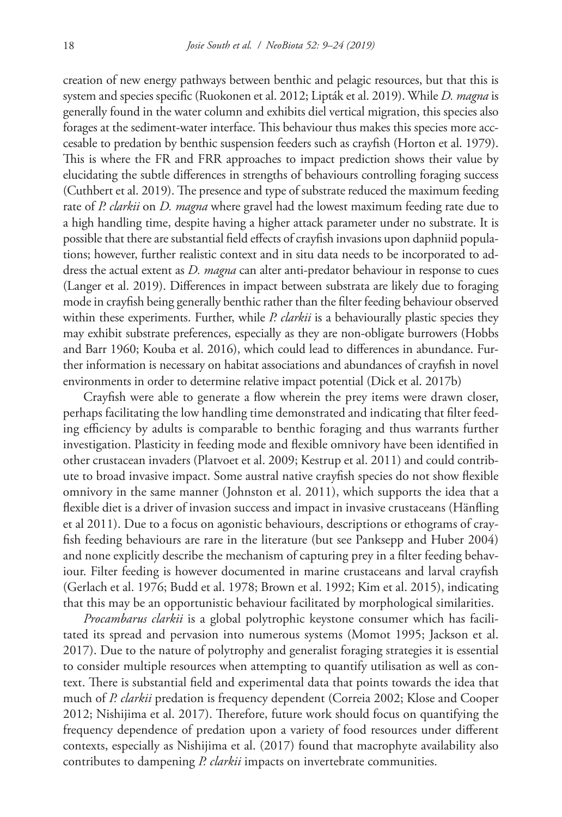creation of new energy pathways between benthic and pelagic resources, but that this is system and species specific (Ruokonen et al. 2012; Lipták et al. 2019). While *D. magna* is generally found in the water column and exhibits diel vertical migration, this species also forages at the sediment-water interface. This behaviour thus makes this species more acccesable to predation by benthic suspension feeders such as crayfish (Horton et al. 1979). This is where the FR and FRR approaches to impact prediction shows their value by elucidating the subtle differences in strengths of behaviours controlling foraging success (Cuthbert et al. 2019). The presence and type of substrate reduced the maximum feeding rate of *P. clarkii* on *D. magna* where gravel had the lowest maximum feeding rate due to a high handling time, despite having a higher attack parameter under no substrate. It is possible that there are substantial field effects of crayfish invasions upon daphniid populations; however, further realistic context and in situ data needs to be incorporated to address the actual extent as *D. magna* can alter anti-predator behaviour in response to cues (Langer et al. 2019). Differences in impact between substrata are likely due to foraging mode in crayfish being generally benthic rather than the filter feeding behaviour observed within these experiments. Further, while *P. clarkii* is a behaviourally plastic species they may exhibit substrate preferences, especially as they are non-obligate burrowers (Hobbs and Barr 1960; Kouba et al. 2016), which could lead to differences in abundance. Further information is necessary on habitat associations and abundances of crayfish in novel environments in order to determine relative impact potential (Dick et al. 2017b)

Crayfish were able to generate a flow wherein the prey items were drawn closer, perhaps facilitating the low handling time demonstrated and indicating that filter feeding efficiency by adults is comparable to benthic foraging and thus warrants further investigation. Plasticity in feeding mode and flexible omnivory have been identified in other crustacean invaders (Platvoet et al. 2009; Kestrup et al. 2011) and could contribute to broad invasive impact. Some austral native crayfish species do not show flexible omnivory in the same manner (Johnston et al. 2011), which supports the idea that a flexible diet is a driver of invasion success and impact in invasive crustaceans (Hänfling et al 2011). Due to a focus on agonistic behaviours, descriptions or ethograms of crayfish feeding behaviours are rare in the literature (but see Panksepp and Huber 2004) and none explicitly describe the mechanism of capturing prey in a filter feeding behaviour. Filter feeding is however documented in marine crustaceans and larval crayfish (Gerlach et al. 1976; Budd et al. 1978; Brown et al. 1992; Kim et al. 2015), indicating that this may be an opportunistic behaviour facilitated by morphological similarities.

*Procambarus clarkii* is a global polytrophic keystone consumer which has facilitated its spread and pervasion into numerous systems (Momot 1995; Jackson et al. 2017). Due to the nature of polytrophy and generalist foraging strategies it is essential to consider multiple resources when attempting to quantify utilisation as well as context. There is substantial field and experimental data that points towards the idea that much of *P. clarkii* predation is frequency dependent (Correia 2002; Klose and Cooper 2012; Nishijima et al. 2017). Therefore, future work should focus on quantifying the frequency dependence of predation upon a variety of food resources under different contexts, especially as Nishijima et al. (2017) found that macrophyte availability also contributes to dampening *P. clarkii* impacts on invertebrate communities.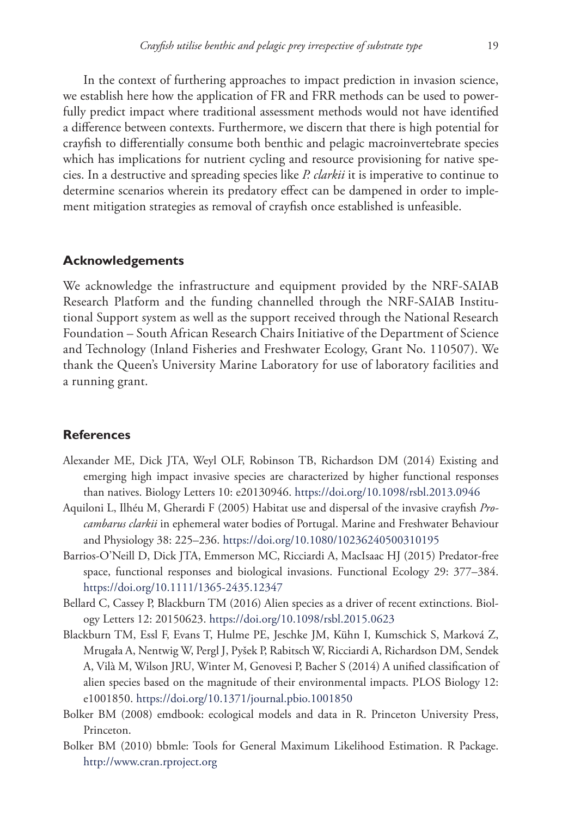In the context of furthering approaches to impact prediction in invasion science, we establish here how the application of FR and FRR methods can be used to powerfully predict impact where traditional assessment methods would not have identified a difference between contexts. Furthermore, we discern that there is high potential for crayfish to differentially consume both benthic and pelagic macroinvertebrate species which has implications for nutrient cycling and resource provisioning for native species. In a destructive and spreading species like *P. clarkii* it is imperative to continue to determine scenarios wherein its predatory effect can be dampened in order to implement mitigation strategies as removal of crayfish once established is unfeasible.

# **Acknowledgements**

We acknowledge the infrastructure and equipment provided by the NRF-SAIAB Research Platform and the funding channelled through the NRF-SAIAB Institutional Support system as well as the support received through the National Research Foundation – South African Research Chairs Initiative of the Department of Science and Technology (Inland Fisheries and Freshwater Ecology, Grant No. 110507). We thank the Queen's University Marine Laboratory for use of laboratory facilities and a running grant.

# **References**

- Alexander ME, Dick JTA, Weyl OLF, Robinson TB, Richardson DM (2014) Existing and emerging high impact invasive species are characterized by higher functional responses than natives. Biology Letters 10: e20130946.<https://doi.org/10.1098/rsbl.2013.0946>
- Aquiloni L, Ilhéu M, Gherardi F (2005) Habitat use and dispersal of the invasive crayfish *Procambarus clarkii* in ephemeral water bodies of Portugal. Marine and Freshwater Behaviour and Physiology 38: 225–236. <https://doi.org/10.1080/10236240500310195>
- Barrios-O'Neill D, Dick JTA, Emmerson MC, Ricciardi A, MacIsaac HJ (2015) Predator-free space, functional responses and biological invasions. Functional Ecology 29: 377–384. <https://doi.org/10.1111/1365-2435.12347>
- Bellard C, Cassey P, Blackburn TM (2016) Alien species as a driver of recent extinctions. Biology Letters 12: 20150623.<https://doi.org/10.1098/rsbl.2015.0623>
- Blackburn TM, Essl F, Evans T, Hulme PE, Jeschke JM, Kühn I, Kumschick S, Marková Z, Mrugała A, Nentwig W, Pergl J, Pyšek P, Rabitsch W, Ricciardi A, Richardson DM, Sendek A, Vilà M, Wilson JRU, Winter M, Genovesi P, Bacher S (2014) A unified classification of alien species based on the magnitude of their environmental impacts. PLOS Biology 12: e1001850.<https://doi.org/10.1371/journal.pbio.1001850>
- Bolker BM (2008) emdbook: ecological models and data in R. Princeton University Press, Princeton.
- Bolker BM (2010) bbmle: Tools for General Maximum Likelihood Estimation. R Package. <http://www.cran.rproject.org>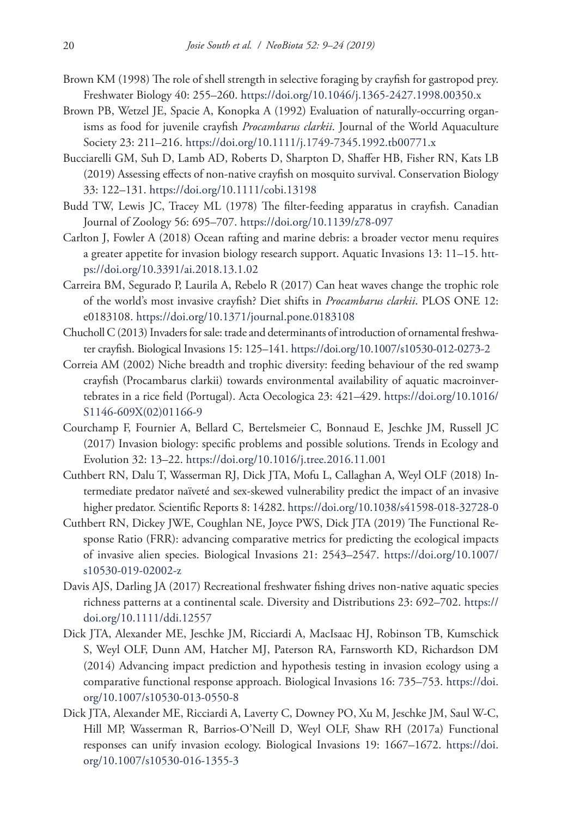- Brown KM (1998) The role of shell strength in selective foraging by crayfish for gastropod prey. Freshwater Biology 40: 255–260. <https://doi.org/10.1046/j.1365-2427.1998.00350.x>
- Brown PB, Wetzel JE, Spacie A, Konopka A (1992) Evaluation of naturally-occurring organisms as food for juvenile crayfish *Procambarus clarkii*. Journal of the World Aquaculture Society 23: 211–216. <https://doi.org/10.1111/j.1749-7345.1992.tb00771.x>
- Bucciarelli GM, Suh D, Lamb AD, Roberts D, Sharpton D, Shaffer HB, Fisher RN, Kats LB (2019) Assessing effects of non-native crayfish on mosquito survival. Conservation Biology 33: 122–131.<https://doi.org/10.1111/cobi.13198>
- Budd TW, Lewis JC, Tracey ML (1978) The filter-feeding apparatus in crayfish. Canadian Journal of Zoology 56: 695–707.<https://doi.org/10.1139/z78-097>
- Carlton J, Fowler A (2018) Ocean rafting and marine debris: a broader vector menu requires a greater appetite for invasion biology research support. Aquatic Invasions 13: 11–15. [htt](https://doi.org/10.3391/ai.2018.13.1.02)[ps://doi.org/10.3391/ai.2018.13.1.02](https://doi.org/10.3391/ai.2018.13.1.02)
- Carreira BM, Segurado P, Laurila A, Rebelo R (2017) Can heat waves change the trophic role of the world's most invasive crayfish? Diet shifts in *Procambarus clarkii*. PLOS ONE 12: e0183108.<https://doi.org/10.1371/journal.pone.0183108>
- Chucholl C (2013) Invaders for sale: trade and determinants of introduction of ornamental freshwater crayfish. Biological Invasions 15: 125–141.<https://doi.org/10.1007/s10530-012-0273-2>
- Correia AM (2002) Niche breadth and trophic diversity: feeding behaviour of the red swamp crayfish (Procambarus clarkii) towards environmental availability of aquatic macroinvertebrates in a rice field (Portugal). Acta Oecologica 23: 421–429. [https://doi.org/10.1016/](https://doi.org/10.1016/S1146-609X(02)01166-9) [S1146-609X\(02\)01166-9](https://doi.org/10.1016/S1146-609X(02)01166-9)
- Courchamp F, Fournier A, Bellard C, Bertelsmeier C, Bonnaud E, Jeschke JM, Russell JC (2017) Invasion biology: specific problems and possible solutions. Trends in Ecology and Evolution 32: 13–22. <https://doi.org/10.1016/j.tree.2016.11.001>
- Cuthbert RN, Dalu T, Wasserman RJ, Dick JTA, Mofu L, Callaghan A, Weyl OLF (2018) Intermediate predator naïveté and sex-skewed vulnerability predict the impact of an invasive higher predator. Scientific Reports 8: 14282. <https://doi.org/10.1038/s41598-018-32728-0>
- Cuthbert RN, Dickey JWE, Coughlan NE, Joyce PWS, Dick JTA (2019) The Functional Response Ratio (FRR): advancing comparative metrics for predicting the ecological impacts of invasive alien species. Biological Invasions 21: 2543–2547. [https://doi.org/10.1007/](https://doi.org/10.1007/s10530-019-02002-z) [s10530-019-02002-z](https://doi.org/10.1007/s10530-019-02002-z)
- Davis AJS, Darling JA (2017) Recreational freshwater fishing drives non-native aquatic species richness patterns at a continental scale. Diversity and Distributions 23: 692–702. [https://](https://doi.org/10.1111/ddi.12557) [doi.org/10.1111/ddi.12557](https://doi.org/10.1111/ddi.12557)
- Dick JTA, Alexander ME, Jeschke JM, Ricciardi A, MacIsaac HJ, Robinson TB, Kumschick S, Weyl OLF, Dunn AM, Hatcher MJ, Paterson RA, Farnsworth KD, Richardson DM (2014) Advancing impact prediction and hypothesis testing in invasion ecology using a comparative functional response approach. Biological Invasions 16: 735–753. [https://doi.](https://doi.org/10.1007/s10530-013-0550-8) [org/10.1007/s10530-013-0550-8](https://doi.org/10.1007/s10530-013-0550-8)
- Dick JTA, Alexander ME, Ricciardi A, Laverty C, Downey PO, Xu M, Jeschke JM, Saul W-C, Hill MP, Wasserman R, Barrios-O'Neill D, Weyl OLF, Shaw RH (2017a) Functional responses can unify invasion ecology. Biological Invasions 19: 1667–1672. [https://doi.](https://doi.org/10.1007/s10530-016-1355-3) [org/10.1007/s10530-016-1355-3](https://doi.org/10.1007/s10530-016-1355-3)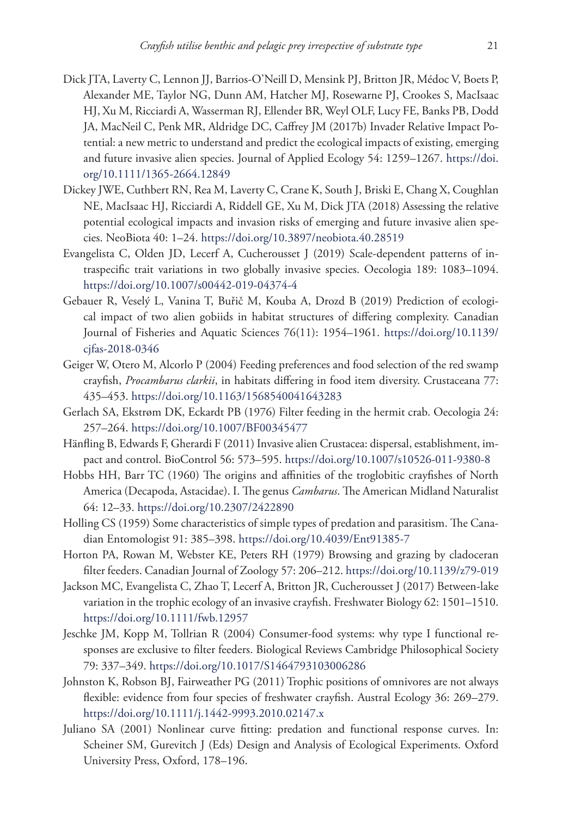- Dick JTA, Laverty C, Lennon JJ, Barrios-O'Neill D, Mensink PJ, Britton JR, Médoc V, Boets P, Alexander ME, Taylor NG, Dunn AM, Hatcher MJ, Rosewarne PJ, Crookes S, MacIsaac HJ, Xu M, Ricciardi A, Wasserman RJ, Ellender BR, Weyl OLF, Lucy FE, Banks PB, Dodd JA, MacNeil C, Penk MR, Aldridge DC, Caffrey JM (2017b) Invader Relative Impact Potential: a new metric to understand and predict the ecological impacts of existing, emerging and future invasive alien species. Journal of Applied Ecology 54: 1259–1267. [https://doi.](https://doi.org/10.1111/1365-2664.12849) [org/10.1111/1365-2664.12849](https://doi.org/10.1111/1365-2664.12849)
- Dickey JWE, Cuthbert RN, Rea M, Laverty C, Crane K, South J, Briski E, Chang X, Coughlan NE, MacIsaac HJ, Ricciardi A, Riddell GE, Xu M, Dick JTA (2018) Assessing the relative potential ecological impacts and invasion risks of emerging and future invasive alien species. NeoBiota 40: 1–24. <https://doi.org/10.3897/neobiota.40.28519>
- Evangelista C, Olden JD, Lecerf A, Cucherousset J (2019) Scale-dependent patterns of intraspecific trait variations in two globally invasive species. Oecologia 189: 1083–1094. <https://doi.org/10.1007/s00442-019-04374-4>
- Gebauer R, Veselý L, Vanina T, Buřič M, Kouba A, Drozd B (2019) Prediction of ecological impact of two alien gobiids in habitat structures of differing complexity. Canadian Journal of Fisheries and Aquatic Sciences 76(11): 1954–1961. [https://doi.org/10.1139/](https://doi.org/10.1139/cjfas-2018-0346) [cjfas-2018-0346](https://doi.org/10.1139/cjfas-2018-0346)
- Geiger W, Otero M, Alcorlo P (2004) Feeding preferences and food selection of the red swamp crayfish, *Procambarus clarkii*, in habitats differing in food item diversity. Crustaceana 77: 435–453.<https://doi.org/10.1163/1568540041643283>
- Gerlach SA, Ekstrøm DK, Eckardt PB (1976) Filter feeding in the hermit crab. Oecologia 24: 257–264.<https://doi.org/10.1007/BF00345477>
- Hänfling B, Edwards F, Gherardi F (2011) Invasive alien Crustacea: dispersal, establishment, impact and control. BioControl 56: 573–595.<https://doi.org/10.1007/s10526-011-9380-8>
- Hobbs HH, Barr TC (1960) The origins and affinities of the troglobitic crayfishes of North America (Decapoda, Astacidae). I. The genus *Cambarus*. The American Midland Naturalist 64: 12–33.<https://doi.org/10.2307/2422890>
- Holling CS (1959) Some characteristics of simple types of predation and parasitism. The Canadian Entomologist 91: 385–398. <https://doi.org/10.4039/Ent91385-7>
- Horton PA, Rowan M, Webster KE, Peters RH (1979) Browsing and grazing by cladoceran filter feeders. Canadian Journal of Zoology 57: 206–212.<https://doi.org/10.1139/z79-019>
- Jackson MC, Evangelista C, Zhao T, Lecerf A, Britton JR, Cucherousset J (2017) Between-lake variation in the trophic ecology of an invasive crayfish. Freshwater Biology 62: 1501–1510. <https://doi.org/10.1111/fwb.12957>
- Jeschke JM, Kopp M, Tollrian R (2004) Consumer-food systems: why type I functional responses are exclusive to filter feeders. Biological Reviews Cambridge Philosophical Society 79: 337–349.<https://doi.org/10.1017/S1464793103006286>
- Johnston K, Robson BJ, Fairweather PG (2011) Trophic positions of omnivores are not always flexible: evidence from four species of freshwater crayfish. Austral Ecology 36: 269–279. <https://doi.org/10.1111/j.1442-9993.2010.02147.x>
- Juliano SA (2001) Nonlinear curve fitting: predation and functional response curves. In: Scheiner SM, Gurevitch J (Eds) Design and Analysis of Ecological Experiments. Oxford University Press, Oxford, 178–196.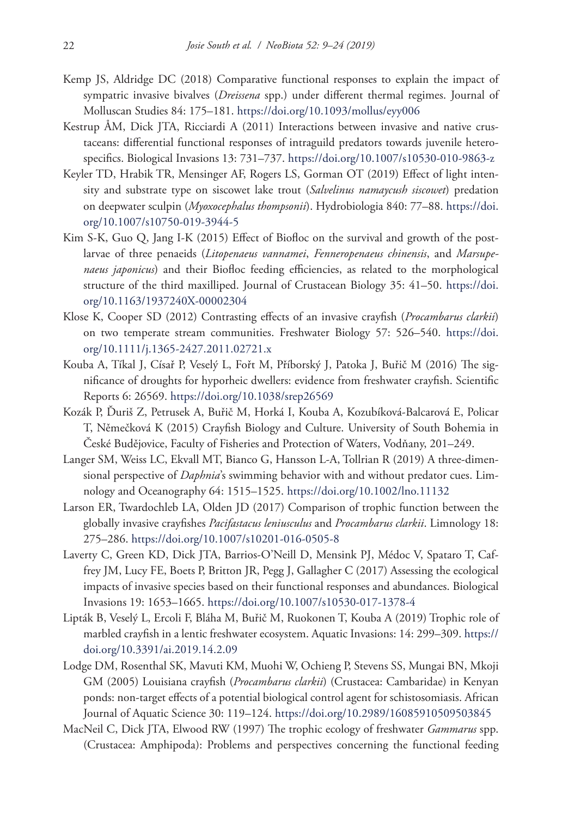- Kemp JS, Aldridge DC (2018) Comparative functional responses to explain the impact of sympatric invasive bivalves (*Dreissena* spp.) under different thermal regimes. Journal of Molluscan Studies 84: 175–181.<https://doi.org/10.1093/mollus/eyy006>
- Kestrup ÅM, Dick JTA, Ricciardi A (2011) Interactions between invasive and native crustaceans: differential functional responses of intraguild predators towards juvenile heterospecifics. Biological Invasions 13: 731–737. <https://doi.org/10.1007/s10530-010-9863-z>
- Keyler TD, Hrabik TR, Mensinger AF, Rogers LS, Gorman OT (2019) Effect of light intensity and substrate type on siscowet lake trout (*Salvelinus namaycush siscowet*) predation on deepwater sculpin (*Myoxocephalus thompsonii*). Hydrobiologia 840: 77–88. [https://doi.](https://doi.org/10.1007/s10750-019-3944-5) [org/10.1007/s10750-019-3944-5](https://doi.org/10.1007/s10750-019-3944-5)
- Kim S-K, Guo Q, Jang I-K (2015) Effect of Biofloc on the survival and growth of the postlarvae of three penaeids (*Litopenaeus vannamei*, *Fenneropenaeus chinensis*, and *Marsupenaeus japonicus*) and their Biofloc feeding efficiencies, as related to the morphological structure of the third maxilliped. Journal of Crustacean Biology 35: 41–50. [https://doi.](https://doi.org/10.1163/1937240X-00002304) [org/10.1163/1937240X-00002304](https://doi.org/10.1163/1937240X-00002304)
- Klose K, Cooper SD (2012) Contrasting effects of an invasive crayfish (*Procambarus clarkii*) on two temperate stream communities. Freshwater Biology 57: 526–540. [https://doi.](https://doi.org/10.1111/j.1365-2427.2011.02721.x) [org/10.1111/j.1365-2427.2011.02721.x](https://doi.org/10.1111/j.1365-2427.2011.02721.x)
- Kouba A, Tíkal J, Císař P, Veselý L, Fořt M, Příborský J, Patoka J, Buřič M (2016) The significance of droughts for hyporheic dwellers: evidence from freshwater crayfish. Scientific Reports 6: 26569. <https://doi.org/10.1038/srep26569>
- Kozák P, Ďuriš Z, Petrusek A, Buřič M, Horká I, Kouba A, Kozubíková-Balcarová E, Policar T, Němečková K (2015) Crayfish Biology and Culture. University of South Bohemia in České Budějovice, Faculty of Fisheries and Protection of Waters, Vodňany, 201–249.
- Langer SM, Weiss LC, Ekvall MT, Bianco G, Hansson L-A, Tollrian R (2019) A three-dimensional perspective of *Daphnia*'s swimming behavior with and without predator cues. Limnology and Oceanography 64: 1515–1525.<https://doi.org/10.1002/lno.11132>
- Larson ER, Twardochleb LA, Olden JD (2017) Comparison of trophic function between the globally invasive crayfishes *Pacifastacus leniusculus* and *Procambarus clarkii*. Limnology 18: 275–286.<https://doi.org/10.1007/s10201-016-0505-8>
- Laverty C, Green KD, Dick JTA, Barrios-O'Neill D, Mensink PJ, Médoc V, Spataro T, Caffrey JM, Lucy FE, Boets P, Britton JR, Pegg J, Gallagher C (2017) Assessing the ecological impacts of invasive species based on their functional responses and abundances. Biological Invasions 19: 1653–1665. <https://doi.org/10.1007/s10530-017-1378-4>
- Lipták B, Veselý L, Ercoli F, Bláha M, Buřič M, Ruokonen T, Kouba A (2019) Trophic role of marbled crayfish in a lentic freshwater ecosystem. Aquatic Invasions: 14: 299–309. [https://](https://doi.org/10.3391/ai.2019.14.2.09) [doi.org/10.3391/ai.2019.14.2.09](https://doi.org/10.3391/ai.2019.14.2.09)
- Lodge DM, Rosenthal SK, Mavuti KM, Muohi W, Ochieng P, Stevens SS, Mungai BN, Mkoji GM (2005) Louisiana crayfish (*Procambarus clarkii*) (Crustacea: Cambaridae) in Kenyan ponds: non-target effects of a potential biological control agent for schistosomiasis. African Journal of Aquatic Science 30: 119–124. <https://doi.org/10.2989/16085910509503845>
- MacNeil C, Dick JTA, Elwood RW (1997) The trophic ecology of freshwater *Gammarus* spp. (Crustacea: Amphipoda): Problems and perspectives concerning the functional feeding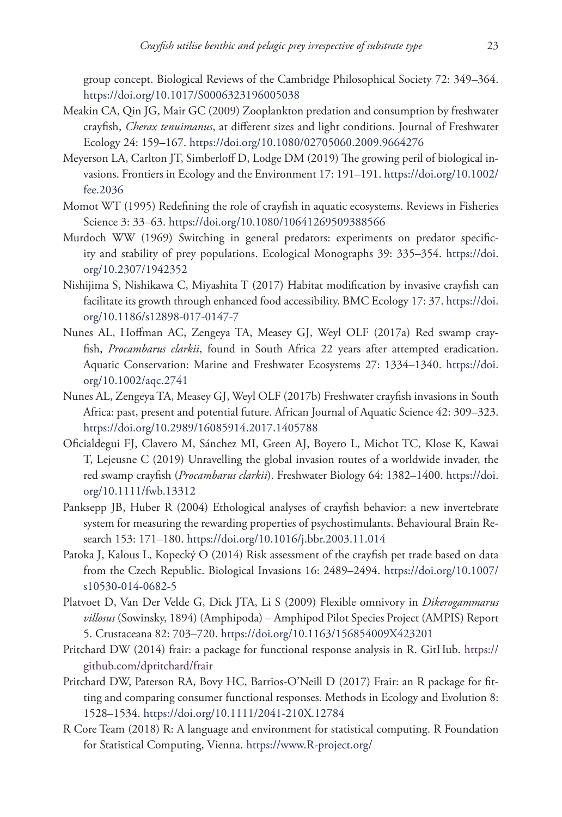group concept. Biological Reviews of the Cambridge Philosophical Society 72: 349–364. <https://doi.org/10.1017/S0006323196005038>

- Meakin CA, Qin JG, Mair GC (2009) Zooplankton predation and consumption by freshwater crayfish, *Cherax tenuimanus*, at different sizes and light conditions. Journal of Freshwater Ecology 24: 159–167. <https://doi.org/10.1080/02705060.2009.9664276>
- Meyerson LA, Carlton JT, Simberloff D, Lodge DM (2019) The growing peril of biological invasions. Frontiers in Ecology and the Environment 17: 191–191. [https://doi.org/10.1002/](https://doi.org/10.1002/fee.2036) [fee.2036](https://doi.org/10.1002/fee.2036)
- Momot WT (1995) Redefining the role of crayfish in aquatic ecosystems. Reviews in Fisheries Science 3: 33–63. <https://doi.org/10.1080/10641269509388566>
- Murdoch WW (1969) Switching in general predators: experiments on predator specificity and stability of prey populations. Ecological Monographs 39: 335–354. [https://doi.](https://doi.org/10.2307/1942352) [org/10.2307/1942352](https://doi.org/10.2307/1942352)
- Nishijima S, Nishikawa C, Miyashita T (2017) Habitat modification by invasive crayfish can facilitate its growth through enhanced food accessibility. BMC Ecology 17: 37. [https://doi.](https://doi.org/10.1186/s12898-017-0147-7) [org/10.1186/s12898-017-0147-7](https://doi.org/10.1186/s12898-017-0147-7)
- Nunes AL, Hoffman AC, Zengeya TA, Measey GJ, Weyl OLF (2017a) Red swamp crayfish, *Procambarus clarkii*, found in South Africa 22 years after attempted eradication. Aquatic Conservation: Marine and Freshwater Ecosystems 27: 1334–1340. [https://doi.](https://doi.org/10.1002/aqc.2741) [org/10.1002/aqc.2741](https://doi.org/10.1002/aqc.2741)
- Nunes AL, Zengeya TA, Measey GJ, Weyl OLF (2017b) Freshwater crayfish invasions in South Africa: past, present and potential future. African Journal of Aquatic Science 42: 309–323. <https://doi.org/10.2989/16085914.2017.1405788>
- Oficialdegui FJ, Clavero M, Sánchez MI, Green AJ, Boyero L, Michot TC, Klose K, Kawai T, Lejeusne C (2019) Unravelling the global invasion routes of a worldwide invader, the red swamp crayfish (*Procambarus clarkii*). Freshwater Biology 64: 1382–1400. [https://doi.](https://doi.org/10.1111/fwb.13312) [org/10.1111/fwb.13312](https://doi.org/10.1111/fwb.13312)
- Panksepp JB, Huber R (2004) Ethological analyses of crayfish behavior: a new invertebrate system for measuring the rewarding properties of psychostimulants. Behavioural Brain Research 153: 171–180. <https://doi.org/10.1016/j.bbr.2003.11.014>
- Patoka J, Kalous L, Kopecký O (2014) Risk assessment of the crayfish pet trade based on data from the Czech Republic. Biological Invasions 16: 2489–2494. [https://doi.org/10.1007/](https://doi.org/10.1007/s10530-014-0682-5) [s10530-014-0682-5](https://doi.org/10.1007/s10530-014-0682-5)
- Platvoet D, Van Der Velde G, Dick JTA, Li S (2009) Flexible omnivory in *Dikerogammarus villosus* (Sowinsky, 1894) (Amphipoda) – Amphipod Pilot Species Project (AMPIS) Report 5. Crustaceana 82: 703–720. <https://doi.org/10.1163/156854009X423201>
- Pritchard DW (2014) frair: a package for functional response analysis in R. GitHub. [https://](https://github.com/dpritchard/frair) [github.com/dpritchard/frair](https://github.com/dpritchard/frair)
- Pritchard DW, Paterson RA, Bovy HC, Barrios-O'Neill D (2017) Frair: an R package for fitting and comparing consumer functional responses. Methods in Ecology and Evolution 8: 1528–1534.<https://doi.org/10.1111/2041-210X.12784>
- R Core Team (2018) R: A language and environment for statistical computing. R Foundation for Statistical Computing, Vienna.<https://www.R-project.org/>